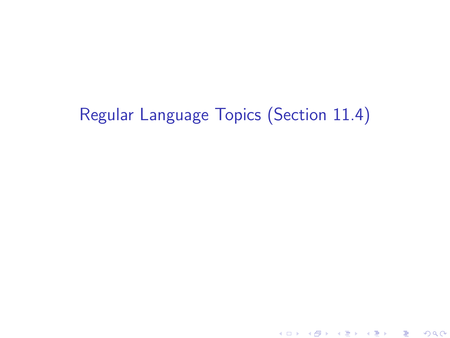# Regular Language Topics (Section 11.4)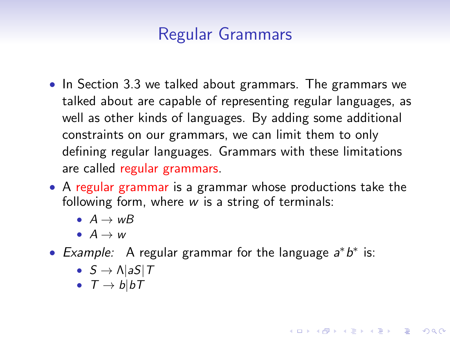# Regular Grammars

- In Section 3.3 we talked about grammars. The grammars we talked about are capable of representing regular languages, as well as other kinds of languages. By adding some additional constraints on our grammars, we can limit them to only defining regular languages. Grammars with these limitations are called regular grammars.
- A regular grammar is a grammar whose productions take the following form, where w is a string of terminals:

**KORKAR KERKER E VOOR** 

- $A \rightarrow wB$
- $\bullet$   $A \rightarrow w$
- Example: A regular grammar for the language  $a^*b^*$  is:
	- $S \rightarrow \Lambda |aS|T$
	- $T \rightarrow blbT$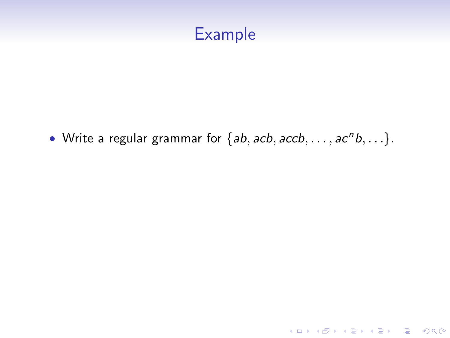• Write a regular grammar for  $\{ab, acb, accb, \ldots, ac^n b, \ldots\}$ .

イロト イ御 トイミト イミト ニミー りんぴ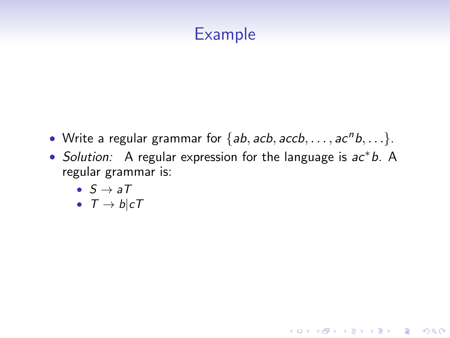- Write a regular grammar for  $\{ab, acb, accb, \ldots, ac^n b, \ldots\}$ .
- Solution: A regular expression for the language is ac∗b. A regular grammar is:

**KORKA SERKER ORA** 

- $S \rightarrow aT$
- $T \rightarrow b \mid cT$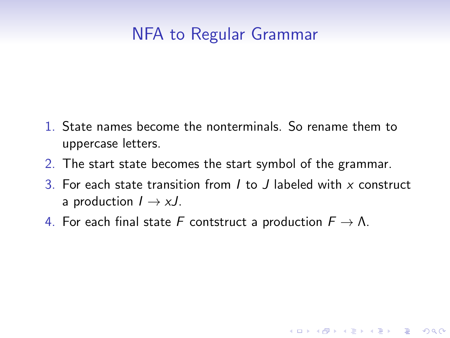# NFA to Regular Grammar

- 1. State names become the nonterminals. So rename them to uppercase letters.
- 2. The start state becomes the start symbol of the grammar.
- 3. For each state transition from  $I$  to  $J$  labeled with  $x$  construct a production  $I \rightarrow xJ$ .

K ロ ▶ K @ ▶ K 할 ▶ K 할 ▶ 이 할 → 9 Q @

4. For each final state F contstruct a production  $F \to \Lambda$ .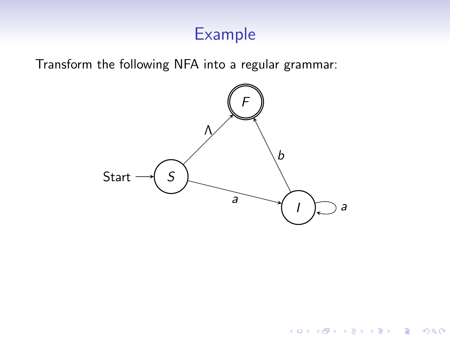Transform the following NFA into a regular grammar:



イロト イ母 トイミト イミト ニヨー りんぴ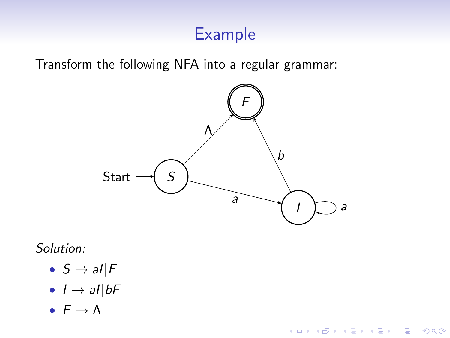Transform the following NFA into a regular grammar:



K ロ ▶ K @ ▶ K 할 > K 할 > 1 할 > 1 이익어

#### Solution:

- $S \rightarrow al \mid F$
- $I \rightarrow al|bF$
- $F \rightarrow \Lambda$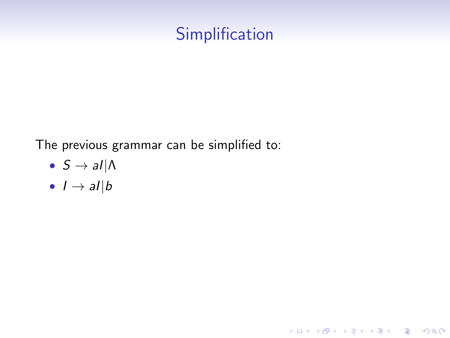# **Simplification**

K ロ ▶ K @ ▶ K 할 ▶ K 할 ▶ | 할 | ⊙Q @

The previous grammar can be simplified to:

- $S \rightarrow al|\Lambda$
- $I \rightarrow aI|b$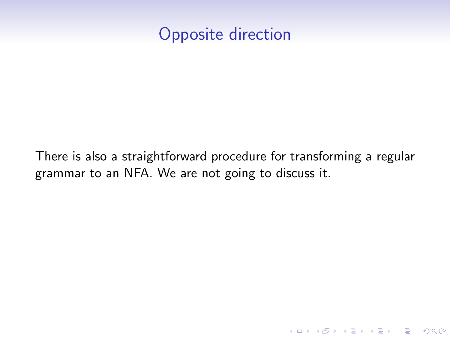## Opposite direction

There is also a straightforward procedure for transforming a regular grammar to an NFA. We are not going to discuss it.

K ロ ▶ K @ ▶ K 할 > K 할 > 1 할 > 1 이익어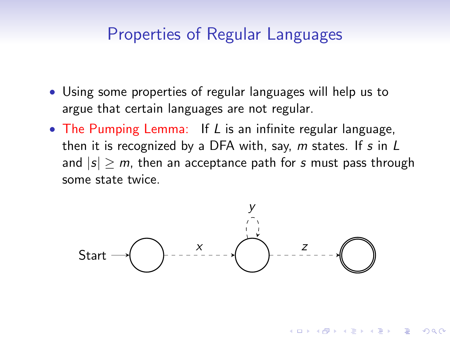### Properties of Regular Languages

- Using some properties of regular languages will help us to argue that certain languages are not regular.
- The Pumping Lemma: If L is an infinite regular language, then it is recognized by a DFA with, say,  $m$  states. If  $s$  in  $L$ and  $|s| > m$ , then an acceptance path for s must pass through some state twice.



**KOD KAR KED KED E YORA**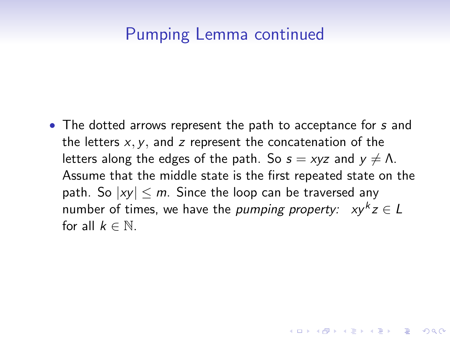### Pumping Lemma continued

• The dotted arrows represent the path to acceptance for s and the letters  $x, y$ , and z represent the concatenation of the letters along the edges of the path. So  $s = xyz$  and  $y \neq \Lambda$ . Assume that the middle state is the first repeated state on the path. So  $|xy| \le m$ . Since the loop can be traversed any number of times, we have the *pumping property:*  $xy^kz \in L$ for all  $k \in \mathbb{N}$ .

**KORKAR KERKER E VOOR**